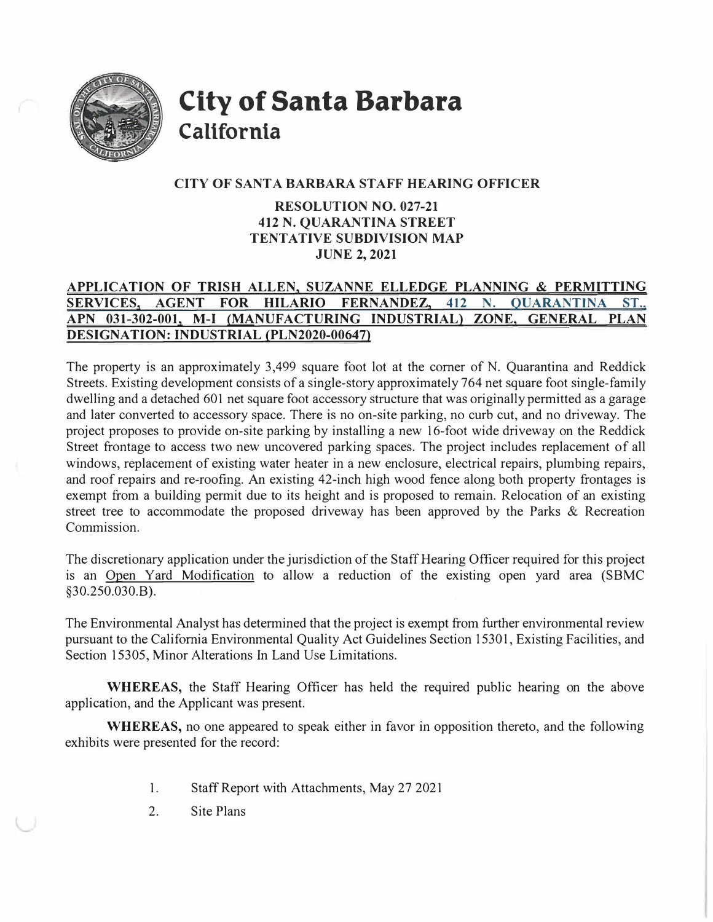

**City of Santa Barbara California** 

### **CITY OF SANT A BARBARA STAFF HEARING OFFICER**

## **RESOLUTION NO. 027-21 412 N. QUARANTINA STREET TENTATIVE SUBDIVISION MAP JUNE 2,2021**

# **APPLICATION OF TRISH ALLEN, SUZANNE ELLEDGE PLANNING & PERMITTING SERVICES, AGENT FOR HILARIO FERNANDEZ, 412 N. OUARANTINA ST., APN 031-302-001, M-I {MANUFACTURING INDUSTRIAL) ZONE, GENERAL PLAN DESIGNATION: INDUSTRIAL (PLN2020-00647)**

The property is an approximately 3,499 square foot lot at the corner of N. Quarantina and Reddick Streets. Existing development consists of a single-story approximately 764 net square foot single-family dwelling and a detached 601 net square foot accessory structure that was originally permitted as a garage and later converted to accessory space. There is no on-site parking, no curb cut, and no driveway. The project proposes to provide on-site parking by installing a new 16-foot wide driveway on the Reddick Street frontage to access two new uncovered parking spaces. The project includes replacement of all windows, replacement of existing water heater in a new enclosure, electrical repairs, plumbing repairs, and roof repairs and re-roofing. An existing 42-inch high wood fence along both property frontages is exempt from a building permit due to its height and is proposed to remain. Relocation of an existing street tree to accommodate the proposed driveway has been approved by the Parks & Recreation Commission.

The discretionary application under the jurisdiction of the Staff Hearing Officer required for this project is an Open Yard Modification to allow a reduction of the existing open yard area (SBMC §30.250.030.B).

The Environmental Analyst has determined that the project is exempt from further environmental review pursuant to the California Environmental Quality Act Guidelines Section 15301, Existing Facilities, and Section 15305, Minor Alterations In Land Use Limitations.

**WHEREAS,** the Staff Hearing Officer has held the required public hearing on the above application, and the Applicant was present.

**WHEREAS,** no one appeared to speak either in favor in opposition thereto, and the following exhibits were presented for the record:

- 1.Staff Report with Attachments, May 27 2021
- 2. Site Plans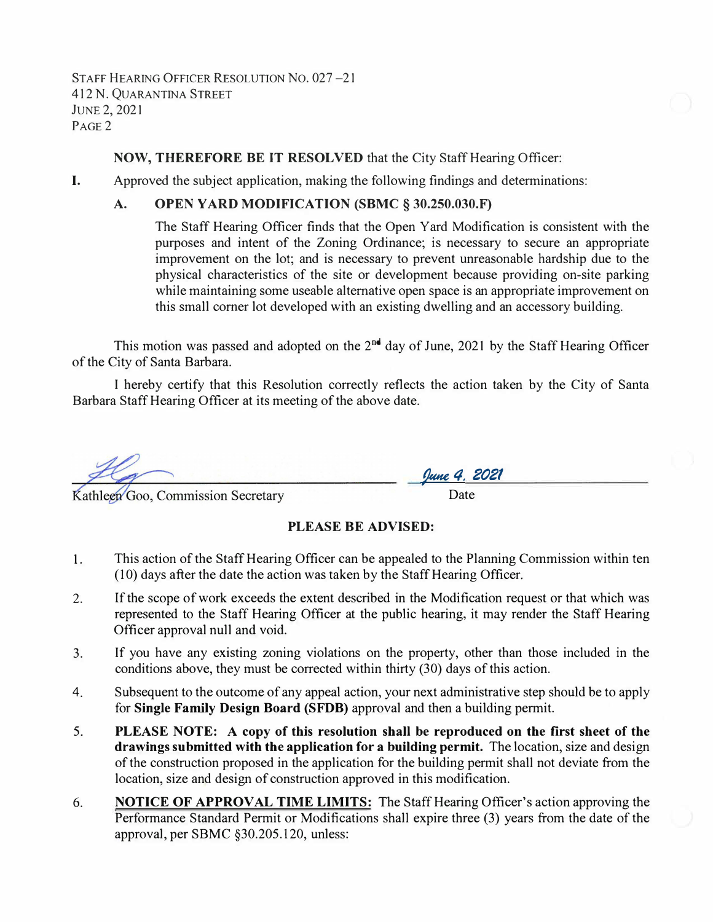STAFF HEARING OFFICER RESOLUTION NO. 027-21 412 N. QUARANTINA STREET JUNE2, 2021 P<sub>AGE</sub><sub>2</sub>

#### **NOW, THEREFORE BE IT RESOLVED** that the City Staff Hearing Officer:

I. Approved the subject application, making the following findings and determinations:

#### **A. OPEN YARD MODIFICATION (SBMC § 30.250.030.F)**

The Staff Hearing Officer finds that the Open Yard Modification is consistent with the purposes and intent of the Zoning Ordinance; is necessary to secure an appropriate improvement on the lot; and is necessary to prevent unreasonable hardship due to the physical characteristics of the site or development because providing on-site parking while maintaining some useable alternative open space is an appropriate improvement on this small comer lot developed with an existing dwelling and an accessory building.

This motion was passed and adopted on the  $2^{nd}$  day of June, 2021 by the Staff Hearing Officer of the City of Santa Barbara.

I hereby certify that this Resolution correctly reflects the action taken by the City of Santa Barbara Staff Hearing Officer at its meeting of the above date.

*�4. 2021* • Date

Kathleen Goo, Commission Secretary

#### **PLEASE BE ADVISED:**

- **1.**  This action of the Staff Hearing Officer can be appealed to the Planning Commission within ten (10) days after the date the action was taken by the Staff Hearing Officer.
- 2. If the scope of work exceeds the extent described in the Modification request or that which was represented to the Staff Hearing Officer at the public hearing, it may render the Staff Hearing Officer approval null and void.
- 3. If you have any existing zoning violations on the property, other than those included in the conditions above, they must be corrected within thirty (30) days of this action.
- 4. Subsequent to the outcome of any appeal action, your next administrative step should be to apply for **Single Family Design Board (SFDB)** approval and then a building permit.
- 5. **PLEASE NOTE: A copy of this resolution shall be reproduced on the first sheet of the drawings submitted with the application for a building permit.** The location, size and design of the construction proposed in the application for the building permit shall not deviate from the location, size and design of construction approved in this modification.
- 6. **NOTICE OF APPROVAL TIME LIMITS:** The Staff Hearing Officer's action approving the Performance Standard Permit or Modifications shall expire three (3) years from the date of the approval, per SBMC §30.205.120, unless: